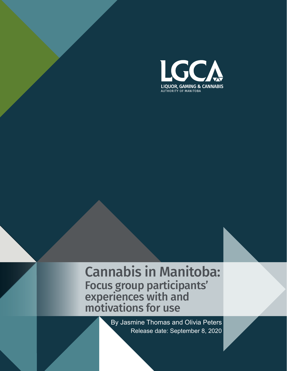

# Cannabis in Manitoba: Focus group participants' experiences with and motivations for use

 Release date: September 8, 2020 By Jasmine Thomas and Olivia Peters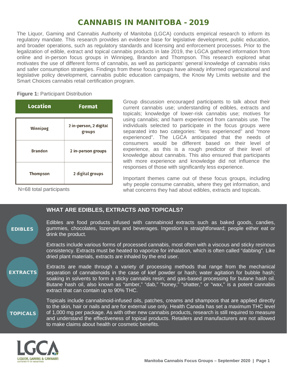# CANNABIS IN MANITOBA - 2019

The Liquor, Gaming and Cannabis Authority of Manitoba (LGCA) conducts empirical research to inform its regulatory mandate. This research provides an evidence base for legislative development, public education, and broader operations, such as regulatory standards and licensing and enforcement processes. Prior to the legalization of edible, extract and topical cannabis products in late 2019, the LGCA gathered information from online and in-person focus groups in Winnipeg, Brandon and Thompson. This research explored what motivates the use of different forms of cannabis, as well as participants' general knowledge of cannabis risks and safer consumption strategies. Findings from these focus groups have already informed organizational and legislative policy development, cannabis public education campaigns, the Know My Limits website and the Smart Choices cannabis retail certification program.

**Figure 1: Participant Distribution** 

| <b>Location</b> | <b>Format</b>                    |
|-----------------|----------------------------------|
| Winnipeg        | 2 in-person, 2 digital<br>groups |
| <b>Brandon</b>  | 2 in-person groups               |
| Thompson        | 2 digital groups                 |

Group discussion encouraged participants to talk about their current cannabis use; understanding of edibles, extracts and topicals; knowledge of lower-risk cannabis use; motives for using cannabis; and harm experienced from cannabis use. The individuals selected to participate in the focus groups were separated into two categories: "less experienced" and "more experienced". The LGCA anticipated that the needs of consumers would be different based on their level of experience, as this is a rough predictor of their level of knowledge about cannabis. This also ensured that participants with more experience and knowledge did not influence the responses of those with significantly less experience.

N=68 total participants

Important themes came out of these focus groups, including why people consume cannabis, where they get information, and what concerns they had about edibles, extracts and topicals.

# **WHAT ARE EDIBLES, EXTRACTS AND TOPICALS?**

Edibles are food products infused with cannabinoid extracts such as baked goods, candies, gummies, chocolates, lozenges and beverages. Ingestion is straightforward; people either eat or drink the product. EDIBLES

> Extracts include various forms of processed cannabis, most often with a viscous and sticky resinous consistency. Extracts must be heated to vaporize for inhalation, which is often called "dabbing". Like dried plant materials, extracts are inhaled by the end user.

Extracts are made through a variety of processing methods that range from the mechanical separation of cannabinoids in the case of kief powder or hash; water agitation for bubble hash; soaking in solvents to form a sticky cannabis resin; and gas-based processing for butane hash oil. Butane hash oil, also known as "amber," "dab," "honey," "shatter," or "wax," is a potent cannabis extract that can contain up to 90% THC. **EXTRACTS** 

TOPICALS

Topicals include cannabinoid-infused oils, patches, creams and shampoos that are applied directly to the skin, hair or nails and are for external use only. Health Canada has set a maximum THC level of 1,000 mg per package. As with other new cannabis products, research is still required to measure and understand the effectiveness of topical products. Retailers and manufacturers are not allowed to make claims about health or cosmetic benefits.

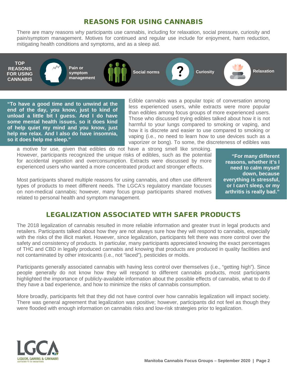### REASONS FOR USING CANNABIS

There are many reasons why participants use cannabis, including for relaxation, social pressure, curiosity and pain/symptom management. Motives for continued and regular use include for enjoyment, harm reduction, mitigating health conditions and symptoms, and as a sleep aid.

**TOP REASONS FOR USING CANNABIS**

**Pain or symptom management**

**Social norms Curiosity Curiosity Relaxation** 

**"To have a good time and to unwind at the end of the day, you know, just to kind of unload a little bit I guess. And I do have some mental health issues, so it does kind of help quiet my mind and you know, just help me relax. And I also do have insomnia, so it does help me sleep."**

Edible cannabis was a popular topic of conversation among less experienced users, while extracts were more popular than edibles among focus groups of more experienced users. Those who discussed trying edibles talked about how it is not harmful to your lungs compared to smoking or vaping, and how it is discrete and easier to use compared to smoking or vaping (i.e., no need to learn how to use devices such as a vaporizer or bong). To some, the discreteness of edibles was

a motive for use, given that edibles do not have a strong smell like smoking. However, participants recognized the unique risks of edibles, such as the potential for accidental ingestion and overconsumption. Extracts were discussed by more experienced users who wanted a more concentrated product and stronger effects.

Most participants shared multiple reasons for using cannabis, and often use different types of products to meet different needs. The LGCA's regulatory mandate focuses on non-medical cannabis; however, many focus group participants shared motives related to personal health and symptom management.

**"For many different reasons, whether it's I need to calm myself down, because everything is stressful, or I can't sleep, or my arthritis is really bad."**

## LEGALIZATION ASSOCIATED WITH SAFER PRODUCTS

The 2018 legalization of cannabis resulted in more reliable information and greater trust in legal products and retailers. Participants talked about how they are not always sure how they will respond to cannabis, especially with the risks of the illicit market. However, since legalization, participants felt there was more control over the safety and consistency of products. In particular, many participants appreciated knowing the exact percentages of THC and CBD in legally produced cannabis and knowing that products are produced in quality facilities and not contaminated by other intoxicants (i.e., not "laced"), pesticides or molds.

Participants generally associated cannabis with having less control over themselves (i.e., "getting high"). Since people generally do not know how they will respond to different cannabis products, most participants highlighted the importance of publicly-available information about the possible effects of cannabis, what to do if they have a bad experience, and how to minimize the risks of cannabis consumption.

More broadly, participants felt that they did not have control over how cannabis legalization will impact society. There was general agreement that legalization was positive; however, participants did not feel as though they were flooded with enough information on cannabis risks and low-risk strategies prior to legalization.

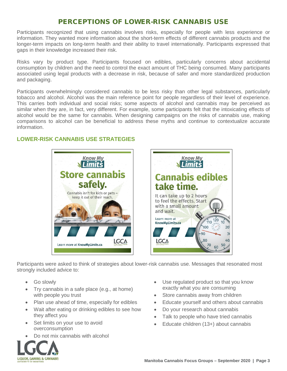## PERCEPTIONS OF LOWER-RISK CANNABIS USE

Participants recognized that using cannabis involves risks, especially for people with less experience or information. They wanted more information about the short-term effects of different cannabis products and the longer-term impacts on long-term health and their ability to travel internationally. Participants expressed that gaps in their knowledge increased their risk.

Risks vary by product type. Participants focused on edibles, particularly concerns about accidental consumption by children and the need to control the exact amount of THC being consumed. Many participants associated using legal products with a decrease in risk, because of safer and more standardized production and packaging.

Participants overwhelmingly considered cannabis to be less risky than other legal substances, particularly tobacco and alcohol. Alcohol was the main reference point for people regardless of their level of experience. This carries both individual and social risks; some aspects of alcohol and cannabis may be perceived as similar when they are, in fact, very different. For example, some participants felt that the intoxicating effects of alcohol would be the same for cannabis. When designing campaigns on the risks of cannabis use, making comparisons to alcohol can be beneficial to address these myths and continue to contextualize accurate information.

#### **LOWER-RISK CANNABIS USE STRATEGIES**





Participants were asked to think of strategies about lower-risk cannabis use. Messages that resonated most strongly included advice to:

- Go slowly
- Try cannabis in a safe place (e.g., at home) with people you trust
- Plan use ahead of time, especially for edibles
- Wait after eating or drinking edibles to see how they affect you
- Set limits on your use to avoid overconsumption
- Do not mix cannabis with alcohol



- Use regulated product so that you know exactly what you are consuming
- Store cannabis away from children
- Educate yourself and others about cannabis
- Do your research about cannabis
- Talk to people who have tried cannabis
- Educate children (13+) about cannabis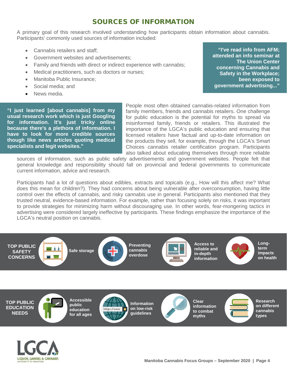## SOURCES OF INFORMATION

A primary goal of this research involved understanding how participants obtain information about cannabis. Participants' commonly used sources of information included:

- Cannabis retailers and staff;
- Government websites and advertisements;
- Family and friends with direct or indirect experience with cannabis:
- Medical practitioners, such as doctors or nurses;
- Manitoba Public Insurance;
- Social media; and
- News media.

**LIQUOR, GAMING & CANNABIS** OF MANITOR

**"I just learned [about cannabis] from my usual research work which is just Googling for information. It's just tricky online because there's a plethora of information. I have to look for more credible sources though like news articles quoting medical specialists and legit websites."**

People most often obtained cannabis-related information from family members, friends and cannabis retailers. One challenge for public education is the potential for myths to spread via misinformed family, friends or retailers. This illustrated the importance of the LGCA's public education and ensuring that licensed retailers have factual and up-to-date information on the products they sell, for example, through the LGCA's Smart Choices cannabis retailer certification program. Participants also talked about educating themselves through more reliable

sources of information, such as public safety advertisements and government websites. People felt that general knowledge and responsibility should fall on provincial and federal governments to communicate current information, advice and research.

Participants had a lot of questions about edibles, extracts and topicals (e.g., How will this affect me? What does this mean for children?). They had concerns about being vulnerable after overconsumption, having little control over the effects of cannabis, and risky cannabis use in general. Participants also mentioned that they trusted neutral, evidence-based information. For example, rather than focusing solely on risks, it was important to provide strategies for minimizing harm without discouraging use. In other words, fear-mongering tactics in advertising were considered largely ineffective by participants. These findings emphasize the importance of the LGCA's neutral position on cannabis.



**"I've read info from AFM; attended an info seminar at The Union Center concerning Cannabis and Safety in the Workplace; been exposed to government advertising..."**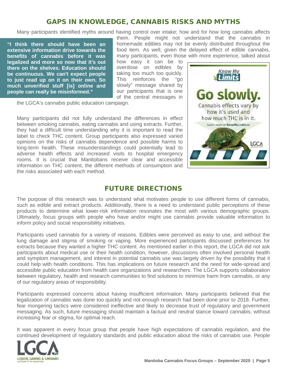## GAPS IN KNOWLEDGE, CANNABIS RISKS AND MYTHS

Many participants identified myths around having control over intake; how and for how long cannabis affects

**"I think there should have been an extensive information drive towards the benefits of cannabis before it was legalized and more so now that it's out there on the shelves. Education should be continuous. We can't expect people to just read up on it on their own. So much unverified stuff [is] online and people can really be misinformed."**

them. People might not understand that the cannabis in homemade edibles may not be evenly distributed throughout the food item. As well, given the delayed effect of edible cannabis, many participants, even those with more experience, talked about

how easy it can be to overdose on edibles by taking too much too quickly. This reinforces the "go slowly" message shared by our participants that is one of the central messages in

the LGCA's cannabis public education campaign.

Many participants did not fully understand the differences in effect between smoking cannabis, eating cannabis and using extracts. Further, they had a difficult time understanding why it is important to read the label to check THC content. Group participants also expressed varied opinions on the risks of cannabis dependence and possible harms to long-term health. These misunderstandings could potentially lead to adverse health effects and increased visits to hospital emergency rooms. It is crucial that Manitobans receive clear and accessible information on THC content, the different methods of consumption and the risks associated with each method.



#### FUTURE DIRECTIONS

The purpose of this research was to understand what motivates people to use different forms of cannabis, such as edible and extract products. Additionally, there is a need to understand public perceptions of these products to determine what lower-risk information resonates the most with various demographic groups. Ultimately, focus groups with people who have and/or might use cannabis provide valuable information to inform policy and social responsibility initiatives.

Participants used cannabis for a variety of reasons. Edibles were perceived as easy to use, and without the lung damage and stigma of smoking or vaping. More experienced participants discussed preferences for extracts because they wanted a higher THC content. As mentioned earlier in this report, the LGCA did not ask participants about medical use or their health condition, however, discussions often involved personal health and symptom management, and interest in potential cannabis use was largely driven by the possibility that it could help with health conditions. This has implications on future research and the need for wide-spread and accessible public education from health care organizations and researchers. The LGCA supports collaboration between regulatory, health and research communities to find solutions to minimize harm from cannabis, or any of our regulatory areas of responsibility.

Participants expressed concerns about having insufficient information. Many participants believed that the legalization of cannabis was done too quickly and not enough research had been done prior to 2018. Further, fear mongering tactics were considered ineffective and likely to decrease trust of regulatory and government messaging. As such, future messaging should maintain a factual and neutral stance toward cannabis, without increasing fear or stigma, for optimal reach.

It was apparent in every focus group that people have high expectations of cannabis regulation, and the continued development of regulatory standards and public education about the risks of cannabis use. People

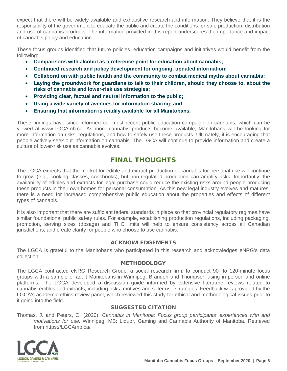expect that there will be widely available and exhaustive research and information. They believe that it is the responsibility of the government to educate the public and create the conditions for safe production, distribution and use of cannabis products. The information provided in this report underscores the importance and impact of cannabis policy and education.

These focus groups identified that future policies, education campaigns and initiatives would benefit from the following:

- **Comparisons with alcohol as a reference point for education about cannabis;**
- **Continued research and policy development for ongoing, updated information;**
- **Collaboration with public health and the community to combat medical myths about cannabis;**
- **Laying the groundwork for guardians to talk to their children, should they choose to, about the risks of cannabis and lower-risk use strategies;**
- **Providing clear, factual and neutral information to the public;**
- **Using a wide variety of avenues for information sharing; and**
- **Ensuring that information is readily available for all Manitobans.**

These findings have since informed our most recent public education campaign on cannabis, which can be viewed at www.LGCAmb.ca. As more cannabis products become available, Manitobans will be looking for more information on risks, regulations, and how to safely use these products. Ultimately, it is encouraging that people actively seek out information on cannabis. The LGCA will continue to provide information and create a culture of lower-risk use as cannabis evolves.

# FINAL THOUGHTS

The LGCA expects that the market for edible and extract production of cannabis for personal use will continue to grow (e.g., cooking classes, cookbooks), but non-regulated production can amplify risks. Importantly, the availability of edibles and extracts for legal purchase could reduce the existing risks around people producing these products in their own homes for personal consumption. As this new legal industry evolves and matures, there is a need for increased comprehensive public education about the properties and effects of different types of cannabis.

It is also important that there are sufficient federal standards in place so that provincial regulatory regimes have similar foundational public safety rules. For example, establishing production regulations, including packaging, promotion, serving sizes (dosage) and THC limits will help to ensure consistency across all Canadian jurisdictions, and create clarity for people who choose to use cannabis.

#### ACKNOWLEDGEMENTS

The LGCA is grateful to the Manitobans who participated in this research and acknowledges eNRG's data collection.

#### **METHODOLOGY**

The LGCA contracted eNRG Research Group, a social research firm, to conduct 90- to 120-minute focus groups with a sample of adult Manitobans in Winnipeg, Brandon and Thompson using in-person and online platforms. The LGCA developed a discussion guide informed by extensive literature reviews related to cannabis edibles and extracts, including risks, motives and safer use strategies. Feedback was provided by the LGCA's academic ethics review panel, which reviewed this study for ethical and methodological issues prior to it going into the field.

#### SUGGESTED CITATION

Thomas, J. and Peters, O. (2020). *Cannabis in Manitoba: Focus group participants' experiences with and motivations for use.* Winnipeg, MB: Liquor, Gaming and Cannabis Authority of Manitoba. Retrieved from https://LGCAmb.ca/